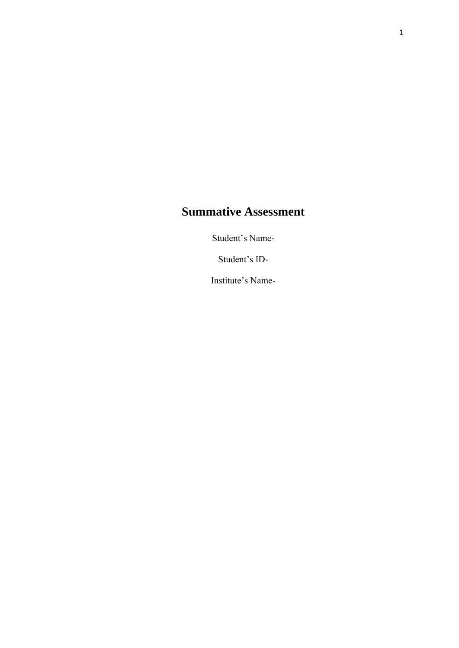# **Summative Assessment**

Student's Name-

Student's ID-

Institute's Name-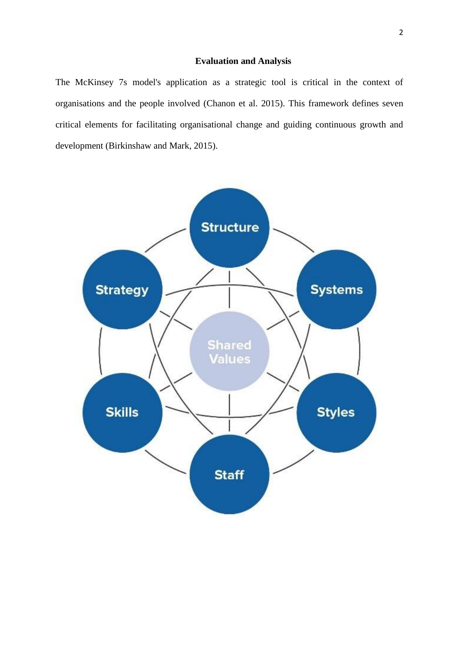# **Evaluation and Analysis**

The McKinsey 7s model's application as a strategic tool is critical in the context of organisations and the people involved (Chanon et al. 2015). This framework defines seven critical elements for facilitating organisational change and guiding continuous growth and development (Birkinshaw and Mark, 2015).

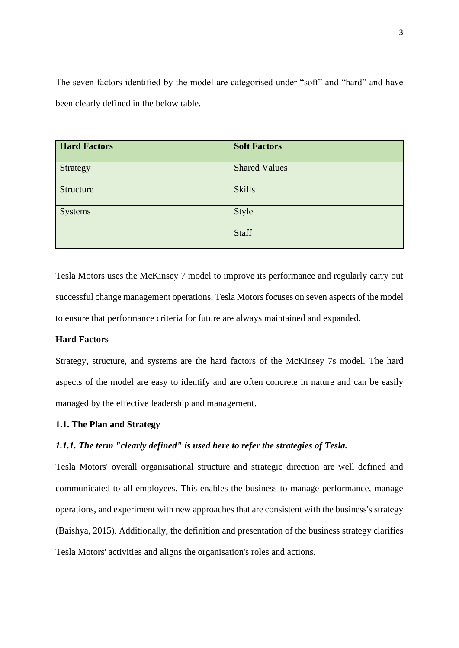The seven factors identified by the model are categorised under "soft" and "hard" and have been clearly defined in the below table.

| <b>Hard Factors</b> | <b>Soft Factors</b>  |
|---------------------|----------------------|
| Strategy            | <b>Shared Values</b> |
| Structure           | <b>Skills</b>        |
| <b>Systems</b>      | Style                |
|                     | Staff                |

Tesla Motors uses the McKinsey 7 model to improve its performance and regularly carry out successful change management operations. Tesla Motors focuses on seven aspects of the model to ensure that performance criteria for future are always maintained and expanded.

# **Hard Factors**

Strategy, structure, and systems are the hard factors of the McKinsey 7s model. The hard aspects of the model are easy to identify and are often concrete in nature and can be easily managed by the effective leadership and management.

# **1.1. The Plan and Strategy**

# *1.1.1. The term "clearly defined" is used here to refer the strategies of Tesla.*

Tesla Motors' overall organisational structure and strategic direction are well defined and communicated to all employees. This enables the business to manage performance, manage operations, and experiment with new approaches that are consistent with the business's strategy (Baishya, 2015). Additionally, the definition and presentation of the business strategy clarifies Tesla Motors' activities and aligns the organisation's roles and actions.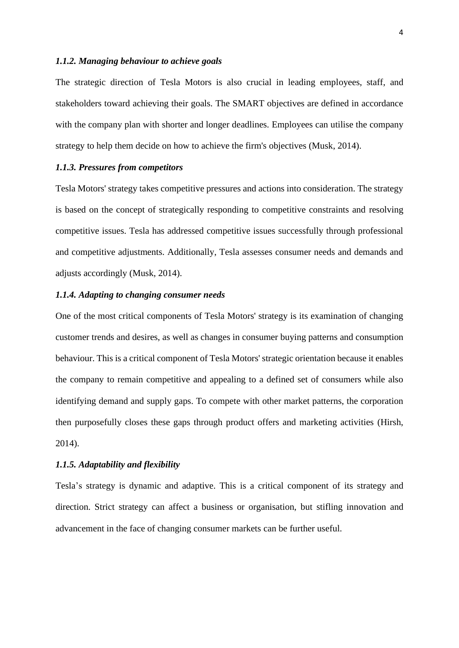#### *1.1.2. Managing behaviour to achieve goals*

The strategic direction of Tesla Motors is also crucial in leading employees, staff, and stakeholders toward achieving their goals. The SMART objectives are defined in accordance with the company plan with shorter and longer deadlines. Employees can utilise the company strategy to help them decide on how to achieve the firm's objectives (Musk, 2014).

# *1.1.3. Pressures from competitors*

Tesla Motors' strategy takes competitive pressures and actions into consideration. The strategy is based on the concept of strategically responding to competitive constraints and resolving competitive issues. Tesla has addressed competitive issues successfully through professional and competitive adjustments. Additionally, Tesla assesses consumer needs and demands and adjusts accordingly (Musk, 2014).

# *1.1.4. Adapting to changing consumer needs*

One of the most critical components of Tesla Motors' strategy is its examination of changing customer trends and desires, as well as changes in consumer buying patterns and consumption behaviour. This is a critical component of Tesla Motors' strategic orientation because it enables the company to remain competitive and appealing to a defined set of consumers while also identifying demand and supply gaps. To compete with other market patterns, the corporation then purposefully closes these gaps through product offers and marketing activities (Hirsh, 2014).

## *1.1.5. Adaptability and flexibility*

Tesla's strategy is dynamic and adaptive. This is a critical component of its strategy and direction. Strict strategy can affect a business or organisation, but stifling innovation and advancement in the face of changing consumer markets can be further useful.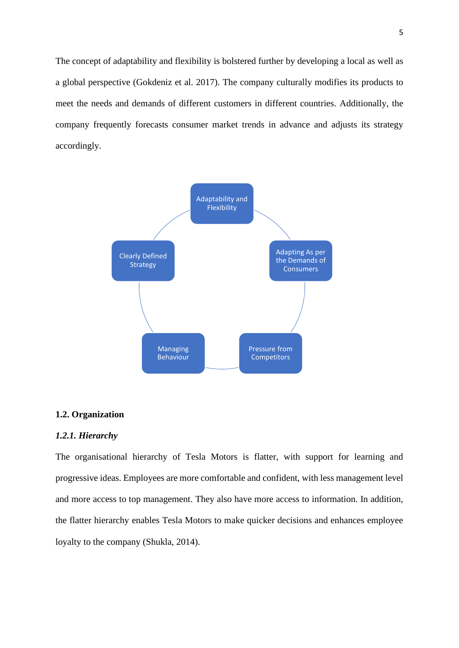The concept of adaptability and flexibility is bolstered further by developing a local as well as a global perspective (Gokdeniz et al. 2017). The company culturally modifies its products to meet the needs and demands of different customers in different countries. Additionally, the company frequently forecasts consumer market trends in advance and adjusts its strategy accordingly.



## **1.2. Organization**

## *1.2.1. Hierarchy*

The organisational hierarchy of Tesla Motors is flatter, with support for learning and progressive ideas. Employees are more comfortable and confident, with less management level and more access to top management. They also have more access to information. In addition, the flatter hierarchy enables Tesla Motors to make quicker decisions and enhances employee loyalty to the company (Shukla, 2014).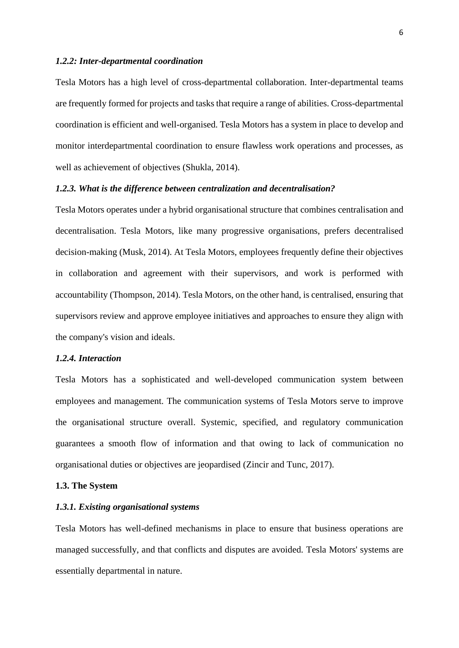## *1.2.2: Inter-departmental coordination*

Tesla Motors has a high level of cross-departmental collaboration. Inter-departmental teams are frequently formed for projects and tasks that require a range of abilities. Cross-departmental coordination is efficient and well-organised. Tesla Motors has a system in place to develop and monitor interdepartmental coordination to ensure flawless work operations and processes, as well as achievement of objectives (Shukla, 2014).

## *1.2.3. What is the difference between centralization and decentralisation?*

Tesla Motors operates under a hybrid organisational structure that combines centralisation and decentralisation. Tesla Motors, like many progressive organisations, prefers decentralised decision-making (Musk, 2014). At Tesla Motors, employees frequently define their objectives in collaboration and agreement with their supervisors, and work is performed with accountability (Thompson, 2014). Tesla Motors, on the other hand, is centralised, ensuring that supervisors review and approve employee initiatives and approaches to ensure they align with the company's vision and ideals.

## *1.2.4. Interaction*

Tesla Motors has a sophisticated and well-developed communication system between employees and management. The communication systems of Tesla Motors serve to improve the organisational structure overall. Systemic, specified, and regulatory communication guarantees a smooth flow of information and that owing to lack of communication no organisational duties or objectives are jeopardised (Zincir and Tunc, 2017).

## **1.3. The System**

#### *1.3.1. Existing organisational systems*

Tesla Motors has well-defined mechanisms in place to ensure that business operations are managed successfully, and that conflicts and disputes are avoided. Tesla Motors' systems are essentially departmental in nature.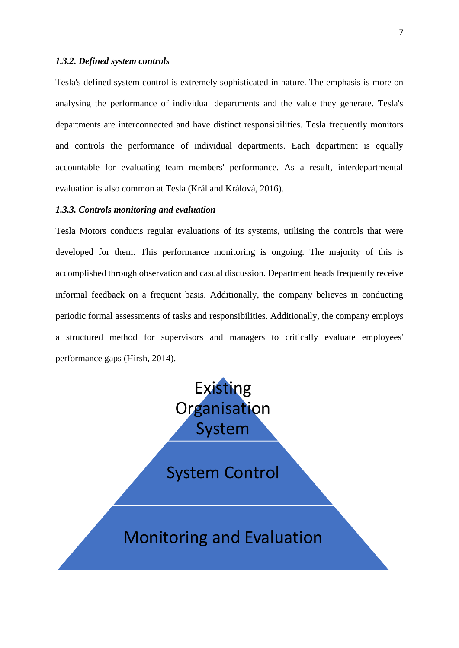## *1.3.2. Defined system controls*

Tesla's defined system control is extremely sophisticated in nature. The emphasis is more on analysing the performance of individual departments and the value they generate. Tesla's departments are interconnected and have distinct responsibilities. Tesla frequently monitors and controls the performance of individual departments. Each department is equally accountable for evaluating team members' performance. As a result, interdepartmental evaluation is also common at Tesla (Král and Králová, 2016).

## *1.3.3. Controls monitoring and evaluation*

Tesla Motors conducts regular evaluations of its systems, utilising the controls that were developed for them. This performance monitoring is ongoing. The majority of this is accomplished through observation and casual discussion. Department heads frequently receive informal feedback on a frequent basis. Additionally, the company believes in conducting periodic formal assessments of tasks and responsibilities. Additionally, the company employs a structured method for supervisors and managers to critically evaluate employees' performance gaps (Hirsh, 2014).

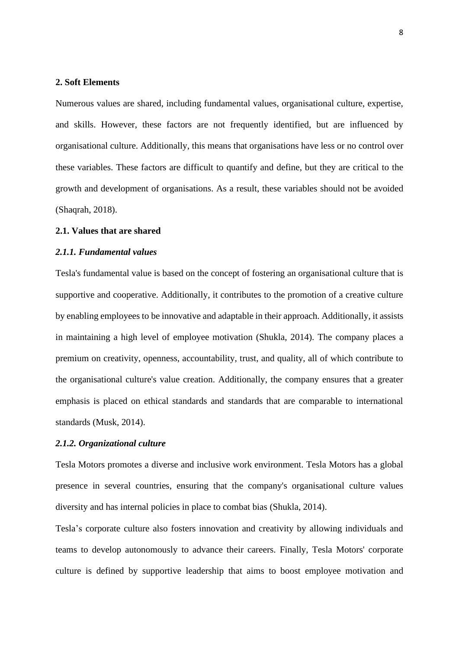#### **2. Soft Elements**

Numerous values are shared, including fundamental values, organisational culture, expertise, and skills. However, these factors are not frequently identified, but are influenced by organisational culture. Additionally, this means that organisations have less or no control over these variables. These factors are difficult to quantify and define, but they are critical to the growth and development of organisations. As a result, these variables should not be avoided (Shaqrah, 2018).

# **2.1. Values that are shared**

## *2.1.1. Fundamental values*

Tesla's fundamental value is based on the concept of fostering an organisational culture that is supportive and cooperative. Additionally, it contributes to the promotion of a creative culture by enabling employees to be innovative and adaptable in their approach. Additionally, it assists in maintaining a high level of employee motivation (Shukla, 2014). The company places a premium on creativity, openness, accountability, trust, and quality, all of which contribute to the organisational culture's value creation. Additionally, the company ensures that a greater emphasis is placed on ethical standards and standards that are comparable to international standards (Musk, 2014).

## *2.1.2. Organizational culture*

Tesla Motors promotes a diverse and inclusive work environment. Tesla Motors has a global presence in several countries, ensuring that the company's organisational culture values diversity and has internal policies in place to combat bias (Shukla, 2014).

Tesla's corporate culture also fosters innovation and creativity by allowing individuals and teams to develop autonomously to advance their careers. Finally, Tesla Motors' corporate culture is defined by supportive leadership that aims to boost employee motivation and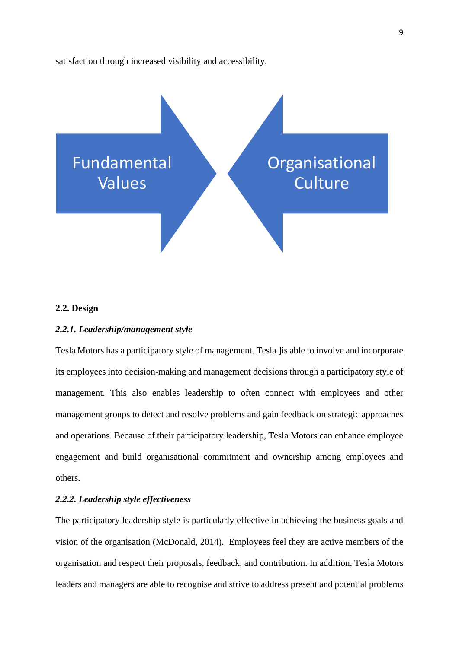satisfaction through increased visibility and accessibility.



## **2.2. Design**

## *2.2.1. Leadership/management style*

Tesla Motors has a participatory style of management. Tesla ]is able to involve and incorporate its employees into decision-making and management decisions through a participatory style of management. This also enables leadership to often connect with employees and other management groups to detect and resolve problems and gain feedback on strategic approaches and operations. Because of their participatory leadership, Tesla Motors can enhance employee engagement and build organisational commitment and ownership among employees and others.

## *2.2.2. Leadership style effectiveness*

The participatory leadership style is particularly effective in achieving the business goals and vision of the organisation (McDonald, 2014). Employees feel they are active members of the organisation and respect their proposals, feedback, and contribution. In addition, Tesla Motors leaders and managers are able to recognise and strive to address present and potential problems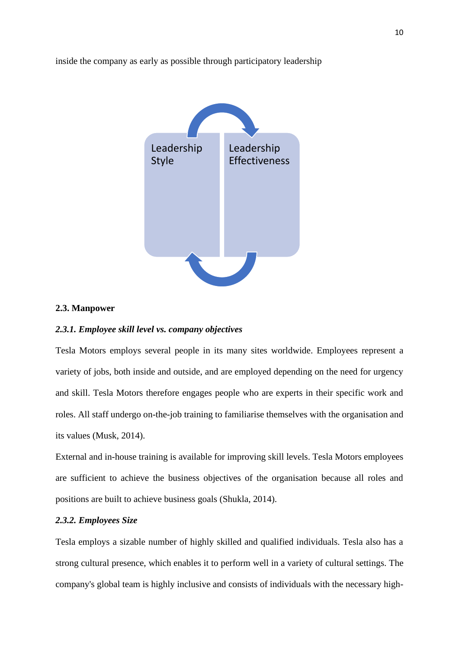



## **2.3. Manpower**

## *2.3.1. Employee skill level vs. company objectives*

Tesla Motors employs several people in its many sites worldwide. Employees represent a variety of jobs, both inside and outside, and are employed depending on the need for urgency and skill. Tesla Motors therefore engages people who are experts in their specific work and roles. All staff undergo on-the-job training to familiarise themselves with the organisation and its values (Musk, 2014).

External and in-house training is available for improving skill levels. Tesla Motors employees are sufficient to achieve the business objectives of the organisation because all roles and positions are built to achieve business goals (Shukla, 2014).

# *2.3.2. Employees Size*

Tesla employs a sizable number of highly skilled and qualified individuals. Tesla also has a strong cultural presence, which enables it to perform well in a variety of cultural settings. The company's global team is highly inclusive and consists of individuals with the necessary high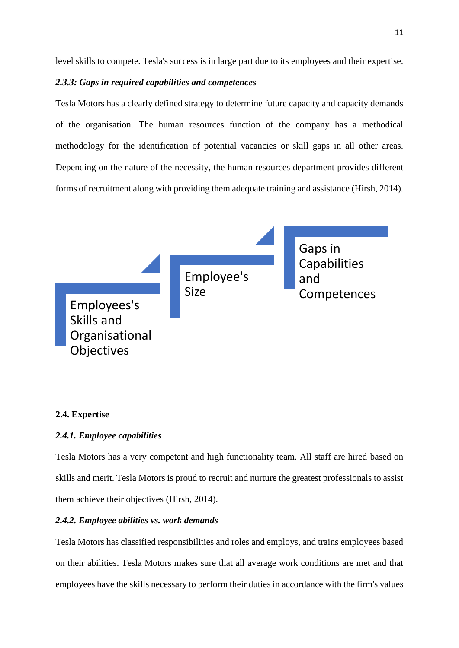level skills to compete. Tesla's success is in large part due to its employees and their expertise.

# *2.3.3: Gaps in required capabilities and competences*

Tesla Motors has a clearly defined strategy to determine future capacity and capacity demands of the organisation. The human resources function of the company has a methodical methodology for the identification of potential vacancies or skill gaps in all other areas. Depending on the nature of the necessity, the human resources department provides different forms of recruitment along with providing them adequate training and assistance (Hirsh, 2014).



## **2.4. Expertise**

# *2.4.1. Employee capabilities*

Tesla Motors has a very competent and high functionality team. All staff are hired based on skills and merit. Tesla Motors is proud to recruit and nurture the greatest professionals to assist them achieve their objectives (Hirsh, 2014).

## *2.4.2. Employee abilities vs. work demands*

Tesla Motors has classified responsibilities and roles and employs, and trains employees based on their abilities. Tesla Motors makes sure that all average work conditions are met and that employees have the skills necessary to perform their duties in accordance with the firm's values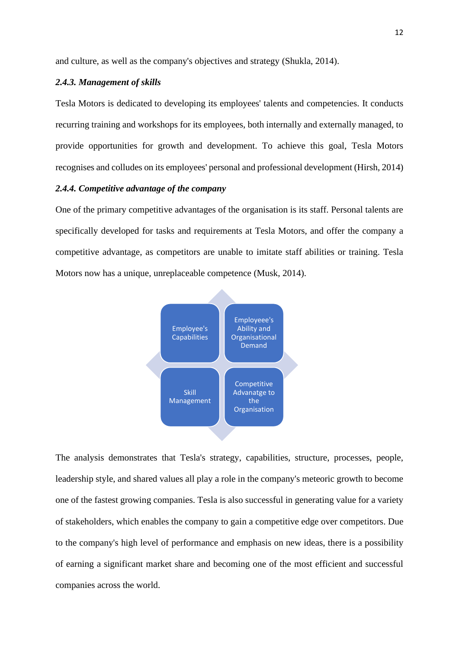and culture, as well as the company's objectives and strategy (Shukla, 2014).

## *2.4.3. Management of skills*

Tesla Motors is dedicated to developing its employees' talents and competencies. It conducts recurring training and workshops for its employees, both internally and externally managed, to provide opportunities for growth and development. To achieve this goal, Tesla Motors recognises and colludes on its employees' personal and professional development (Hirsh, 2014)

# *2.4.4. Competitive advantage of the company*

One of the primary competitive advantages of the organisation is its staff. Personal talents are specifically developed for tasks and requirements at Tesla Motors, and offer the company a competitive advantage, as competitors are unable to imitate staff abilities or training. Tesla Motors now has a unique, unreplaceable competence (Musk, 2014).



The analysis demonstrates that Tesla's strategy, capabilities, structure, processes, people, leadership style, and shared values all play a role in the company's meteoric growth to become one of the fastest growing companies. Tesla is also successful in generating value for a variety of stakeholders, which enables the company to gain a competitive edge over competitors. Due to the company's high level of performance and emphasis on new ideas, there is a possibility of earning a significant market share and becoming one of the most efficient and successful companies across the world.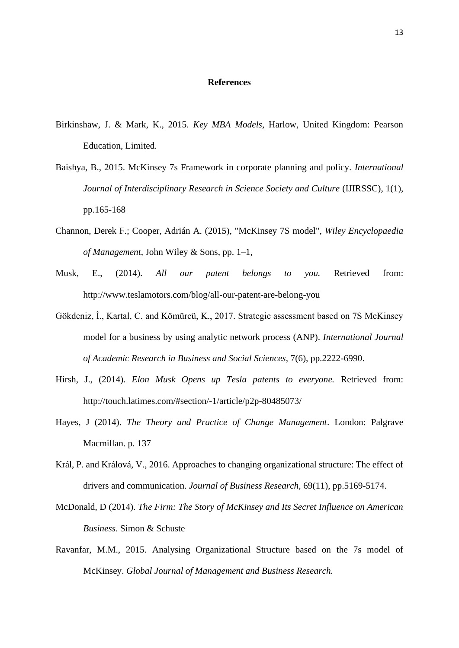#### **References**

- Birkinshaw, J. & Mark, K., 2015. *Key MBA Models*, Harlow, United Kingdom: Pearson Education, Limited.
- Baishya, B., 2015. McKinsey 7s Framework in corporate planning and policy. *International Journal of Interdisciplinary Research in Science Society and Culture (IJIRSSC), 1(1),* pp.165-168
- Channon, Derek F.; Cooper, Adrián A. (2015), ["McKinsey 7S model",](https://onlinelibrary.wiley.com/doi/abs/10.1002/9781118785317.weom120005) *Wiley Encyclopaedia of Management*, [John Wiley & Sons,](https://en.wikipedia.org/wiki/John_Wiley_%26_Sons) pp. 1–1,
- Musk, E., (2014). *All our patent belongs to you.* Retrieved from: <http://www.teslamotors.com/blog/all-our-patent-are-belong-you>
- Gökdeniz, İ., Kartal, C. and Kömürcü, K., 2017. Strategic assessment based on 7S McKinsey model for a business by using analytic network process (ANP). *International Journal of Academic Research in Business and Social Sciences,* 7(6), pp.2222-6990.
- Hirsh, J., (2014). *Elon Musk Opens up Tesla patents to everyone.* Retrieved from: <http://touch.latimes.com/#section/-1/article/p2p-80485073/>
- Hayes, J (2014). *The Theory and Practice of Change Management*. London: Palgrave Macmillan. p. 137
- Král, P. and Králová, V., 2016. Approaches to changing organizational structure: The effect of drivers and communication. *Journal of Business Research,* 69(11), pp.5169-5174.
- McDonald, D (2014). *[The Firm: The Story of McKinsey and Its Secret Influence on American](https://books.google.com/books?id=kAKZBAAAQBAJ)  [Business](https://books.google.com/books?id=kAKZBAAAQBAJ)*. [Simon & Schuste](https://en.wikipedia.org/wiki/Simon_%26_Schuster)
- Ravanfar, M.M., 2015. Analysing Organizational Structure based on the 7s model of McKinsey. *Global Journal of Management and Business Research.*